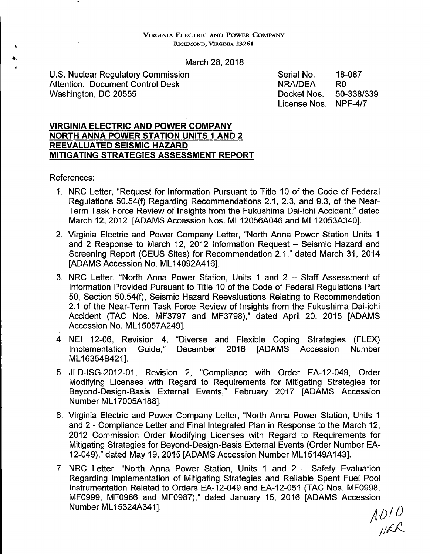### VIRGINIA ELECTRIC AND POWER COMPANY RICHMOND, VIRGINIA 23261

March 28, 2018

U.S. Nuclear Regulatory Commission Attention: Document Control Desk Washington, DC 20555

Serial No. 18-087 NRA/DEA RO Docket Nos. 50-338/339 License Nos. NPF-4/7

## **VIRGINIA ELECTRIC AND POWER COMPANY NORTH ANNA POWER STATION UNITS 1 AND 2 REEVALUATED SEISMIC HAZARD MITIGATING STRATEGIES ASSESSMENT REPORT**

References:

- 1. NRC Letter, "Request for Information Pursuant to Title 10 of the Code of Federal Regulations 50.54(f) Regarding Recommendations 2.1, 2.3, and 9.3, of the Near-Term Task Force Review of Insights from the Fukushima Dai-ichi Accident," dated March 12, 2012 [ADAMS Accession Nos. ML 12056A046 and ML 12053A340].
- 2. Virginia Electric and Power Company Letter, "North Anna Power Station Units 1 and 2 Response to March 12, 2012 Information Request - Seismic Hazard and Screening Report (CEUS Sites) for Recommendation 2.1," dated March 31, 2014 [ADAMS Accession No. ML 14092A416].
- 3. NRC Letter, "North Anna Power Station, Units 1 and 2 Staff Assessment of Information Provided Pursuant to Title 10 of the Code of Federal Regulations Part 50, Section 50.54(f), Seismic Hazard Reevaluations Relating to Recommendation 2.1 of the Near-Term Task Force Review of Insights from the Fukushima Dai-ichi Accident (TAC Nos. MF3797 and MF3798)," dated April 20, 2015 [ADAMS Accession No. ML15057A249].
- 4. NEI 12-06, Revision 4, "Diverse and Flexible Coping Strategies (FLEX) Implementation Guide," December 2016 [ADAMS Accession Number ML 163548421].
- 5. JLD-ISG-2012-01, Revision 2, "Compliance with Order EA-12-049, Order Modifying Licenses with Regard to Requirements for Mitigating Strategies for Beyond-Design-Basis External Events," February 2017 [ADAMS Accession Number ML 17005A188].
- 6. Virginia Electric and Power Company Letter, "North Anna Power Station, Units 1 and 2 - Compliance Letter and Final Integrated Plan in Response to the March 12, 2012 Commission Order Modifying Licenses with Regard to Requirements for Mitigating Strategies for Beyond-Design-Basis External Events (Order Number EA-12-049)," dated May 19, 2015 [ADAMS Accession Number ML 15149A143].
- 7. NRC Letter, "North Anna Power Station, Units 1 and 2 Safety Evaluation Regarding Implementation of Mitigating Strategies and Reliable Spent Fuel Pool Instrumentation Related to Orders EA-12-049 and EA-12-051 (TAC Nos. MF0998, MF0999, MF0986 and MF0987)," dated January 15, 2016 [ADAMS Accession Number ML 15324A3411.

 $A$  $D / D$ <br> $N$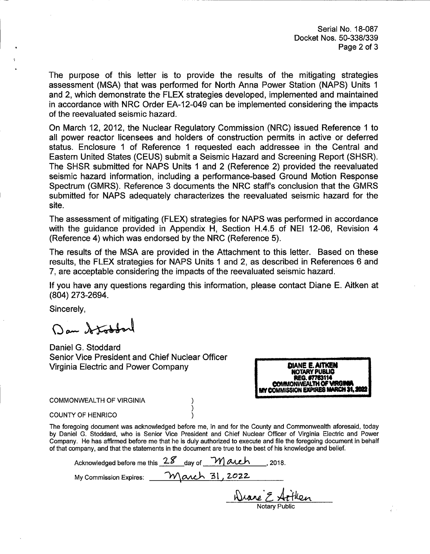Serial No. 18-087 Docket Nos. 50-338/339 Page 2 of 3

The purpose of this letter is to provide the results of the mitigating strategies assessment (MSA) that was performed for North Anna Power Station (NAPS) Units 1 and 2, which demonstrate the FLEX strategies developed, implemented and maintained in accordance with NRC Order EA-12-049 can be implemented considering the impacts of the reevaluated seismic hazard.

On March 12, 2012, the Nuclear Regulatory Commission (NRC) issued Reference 1 to all power reactor licensees and holders of construction permits in active or deferred status. Enclosure 1 of Reference 1 requested each addressee in the Central and Eastern United States (CELIS) submit a Seismic Hazard and Screening Report (SHSR). The SHSR submitted for NAPS Units 1 and 2 (Reference 2) provided the reevaluated seismic hazard information, including a performance-based Ground Motion Response Spectrum (GMRS). Reference 3 documents the NRC staff's conclusion that the GMRS submitted for NAPS adequately characterizes the reevaluated seismic hazard for the site.

The assessment of mitigating (FLEX) strategies for NAPS was performed in accordance with the guidance provided in Appendix H, Section H.4.5 of NEI 12-06, Revision 4 (Reference 4) which was endorsed by the NRC (Reference 5).

The results of the MSA are provided in the Attachment to this letter. Based on these results, the FLEX strategies for NAPS Units 1 and 2, as described in References 6 and 7, are acceptable considering the impacts of the reevaluated seismic hazard.

If you have any questions regarding this information, please contact Diane E. Aitken at (804) 273-2694.

Sincerely,

Dan Stooder

Daniel G. Stoddard Senior Vice President and Chief Nuclear Officer Virginia Electric and Power Company



**COMMONWEALTH OF VIRGINIA** 

COUNTY OF HENRICO

The foregoing document was acknowledged before me, in and for the County and Commonwealth aforesaid, today by Daniel G. Stoddard, who is Senior Vice President and Chief Nuclear Officer of Virginia Electric and Power Company. He has affirmed before me that he is duly authorized to execute and file the foregoing document in behalf of that company, and that the statements in the document are true to the best of his knowledge and belief.

Acknowledged before me this  $28$  day of March , 2018. March 31, 2022 My Commission Expires:

 $\lambda$ 

<u>Wrane E Arthlen</u>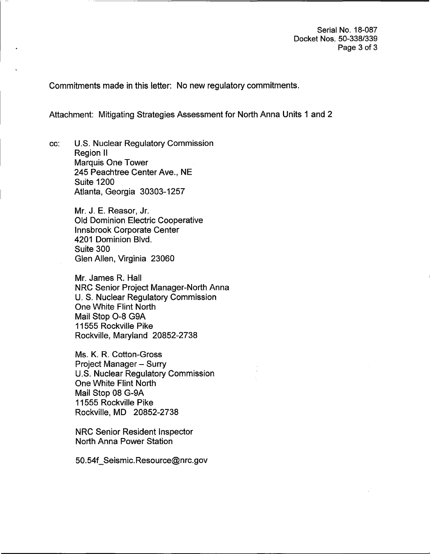Commitments made in this letter: No new regulatory commitments.

Attachment: Mitigating Strategies Assessment for North Anna Units 1 and 2

cc: U.S. Nuclear Regulatory Commission Region II Marquis One Tower 245 Peachtree Center Ave., NE Suite 1200 Atlanta, Georgia 30303-1257

> Mr. J. E. Reasor, Jr. Old Dominion Electric Cooperative Innsbrook Corporate Center 4201 Dominion Blvd. Suite 300 Glen Allen, Virginia 23060

Mr. James R. Hall NRC Senior Project Manager-North Anna U.S. Nuclear Regulatory Commission One White Flint North Mail Stop 0-8 G9A 11555 Rockville Pike Rockville, Maryland 20852-2738

Ms. K. R. Cotton-Gross Project Manager - Surry U.S. Nuclear Regulatory Commission One White Flint North Mail Stop 08 G-9A 11555 Rockville Pike Rockville, MD 20852-2738

NRC Senior Resident Inspector North Anna Power Station

50.54f\_Seismic.Resource@nrc.gov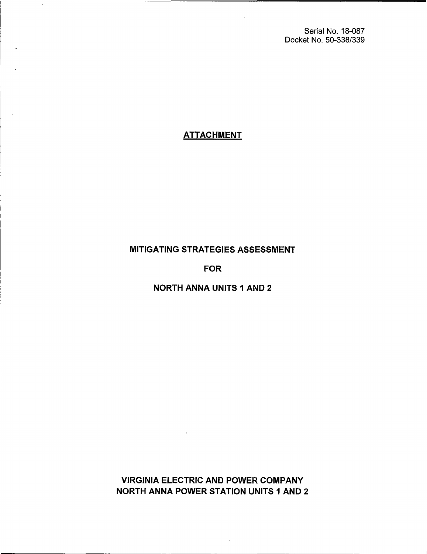Serial No. 18-087 Docket No. 50-338/339

# **ATTACHMENT**

## MITIGATING STRATEGIES ASSESSMENT

FOR

NORTH **ANNA** UNITS 1 AND 2

VIRGINIA ELECTRIC AND POWER COMPANY NORTH **ANNA** POWER STATION UNITS 1 AND 2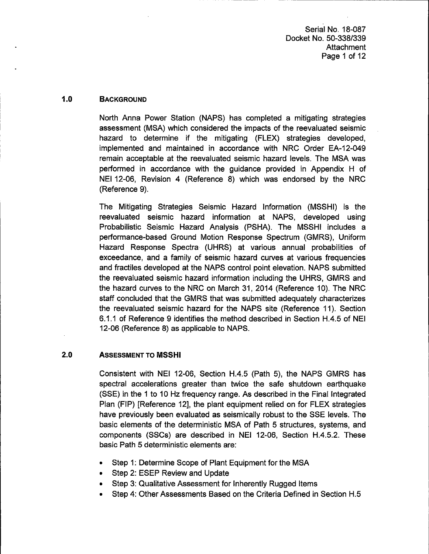Serial No. 18-087 Docket No. 50-338/339 **Attachment** Page 1 of 12

### **1.0 BACKGROUND**

North Anna Power Station (NAPS) has completed a mitigating strategies assessment (MSA) which considered the impacts of the reevaluated seismic hazard to determine if the mitigating (FLEX) strategies developed, implemented and maintained in accordance with NRC Order EA-12-049 remain acceptable at the reevaluated seismic hazard levels. The MSA was performed in accordance with the guidance provided in Appendix H of NEI 12-06, Revision 4 (Reference 8) which was endorsed by the NRC (Reference 9).

The Mitigating Strategies Seismic Hazard Information (MSSHI) is the reevaluated seismic hazard information at NAPS, developed using Probabilistic Seismic Hazard Analysis (PSHA). The MSSHI includes a performance-based Ground Motion Response Spectrum (GMRS), Uniform Hazard Response Spectra (UHRS) at various annual probabilities of exceedance, and a family of seismic hazard curves at various frequencies and fractiles developed at the NAPS control point elevation. NAPS submitted the reevaluated seismic hazard information including the UHRS, GMRS and the hazard curves to the NRC on March 31, 2014 (Reference 10). The NRC staff concluded that the GMRS that was submitted adequately characterizes the reevaluated seismic hazard for the NAPS site (Reference 11). Section 6.1.1 of Reference 9 identifies the method described in Section H.4.5 of NEI 12-06 (Reference 8) as applicable to NAPS.

### **2.0 ASSESSMENT TO MSSHI**

Consistent with NEI 12-06, Section H.4.5 (Path 5), the NAPS GMRS has spectral accelerations greater than twice the safe shutdown earthquake (SSE) in the 1 to 10 Hz frequency range. As described in the Final Integrated Plan (FIP) [Reference 12], the plant equipment relied on for FLEX strategies have previously been evaluated as seismically robust to the SSE levels. The basic elements of the deterministic MSA of Path 5 structures, systems, and components (SSCs) are described in NEI 12-06, Section H.4.5.2. These basic Path 5 deterministic elements are:

- Step 1: Determine Scope of Plant Equipment for the MSA
- Step 2: ESEP Review and Update
- Step 3: Qualitative Assessment for Inherently Rugged Items
- Step 4: Other Assessments Based on the Criteria Defined in Section H.5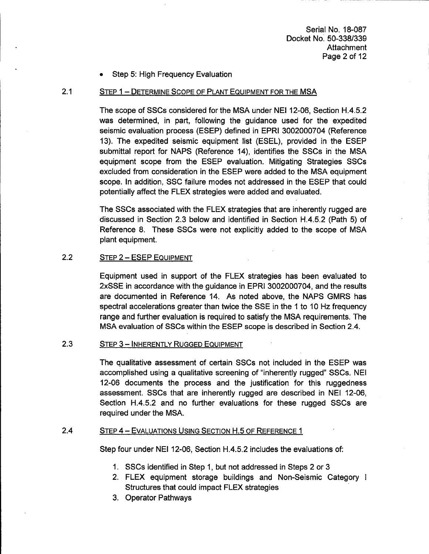Serial No. 18-087 Docket No: 50-338/339 **Attachment** Page 2 of 12

### • Step 5: High Frequency Evaluation

#### 2.1 STEP 1 - DETERMINE SCOPE OF PLANT EQUIPMENT FOR THE MSA

The scope of SSCs considered for the MSA under NEI 12-06, Section H.4.5.2 was determined, in part, following the guidance used for the expedited seismic evaluation process (ESEP) defined in EPRI 3002000704 (Reference 13). The expedited seismic equipment list (ESEL), provided in the ESEP submittal report for NAPS (Reference 14), identifies the SSCs in the MSA equipment scope from the ESEP evaluation. Mitigating Strategies SSCs excluded from consideration in the ESEP were added to the MSA equipment scope. In addition, SSC failure modes not addressed in the ESEP that could potentially affect the FLEX strategies were added and evaluated.

The SSCs associated with the FLEX strategies that are inherently rugged are discussed in Section 2.3 below and identified in Section H.4.5.2 (Path 5) of Reference 8. These SSCs were not explicitly added to the scope of MSA plant equipment.

### 2.2 STEP 2 - **ESEP** EQUIPMENT

Equipment used in support of the FLEX strategies has been evaluated to 2xSSE in accordance with the guidance in EPRI 3002000704, and the results are documented in Reference 14. As noted above, the NAPS GMRS has spectral accelerations greater than twice the SSE in the 1 to 10 Hz frequency range and further evaluation is required to satisfy the MSA requirements. The MSA evaluation of SSCs within the ESEP scope is described in Section 2.4.

### 2.3 STEP 3 - INHERENTLY RUGGED EQUIPMENT

The qualitative assessment of certain SSCs not included in the ESEP was accomplished using a qualitative screening of "inherently rugged" SSCs. NEI 12-06 documents the process and the justification for this ruggedness assessment. SSCs that are inherently rugged are described in NEI 12-06, Section H.4.5.2 and no further evaluations for these rugged SSCs are required under the MSA.

### 2.4 STEP 4 - EVALUATIONS USING SECTION H.5 OF REFERENCE 1

Step four under NEI 12-06, Section H.4.5.2 includes the evaluations of:

- 1. SSCs identified in Step 1, but not addressed in Steps 2 or 3
- 2. FLEX equipment storage buildings and Non-Seismic Category Structures that could impact FLEX strategies
- 3. Operator Pathways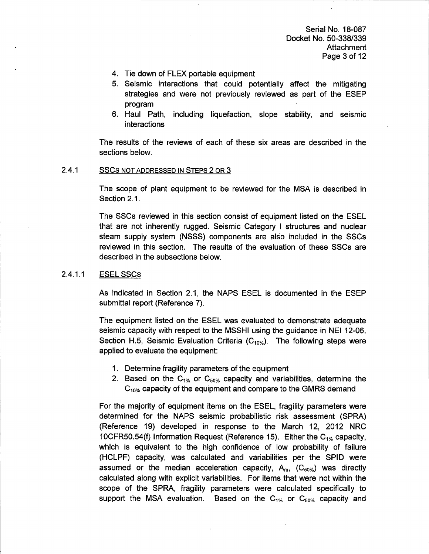Serial No. 18-087 Docket No. 50-338/339 **Attachment** Page 3 of 12

- 4. Tie down of FLEX portable equipment
- 5. Seismic interactions that could potentially affect the mitigating strategies and were not previously reviewed as part of the ESEP program
- 6. Haul Path, including liquefaction, slope stability, and seismic interactions

The results of the reviews of each of these six areas are described in the sections below.

#### 2.4.1 **SSCS** NOT ADDRESSED IN STEPS 2 OR 3

The scope of plant equipment to be reviewed for the MSA is described in Section 2.1.

The SSCs reviewed in this section consist of equipment listed on the ESEL that are not inherently rugged. Seismic Category I structures and nuclear steam supply system (NSSS) components are also included in the SSCs reviewed in this section. The results of the evaluation of these SSCs are described in the subsections below.

#### 2.4.1.1 ESELSSCs

As indicated in Section 2.1, the NAPS ESEL is documented in the ESEP submittal report (Reference 7).

The equipment listed on the ESEL was evaluated to demonstrate adequate seismic capacity with respect to the MSSHI using the guidance in NEI 12-06, Section H.5, Seismic Evaluation Criteria  $(C_{10\%})$ . The following steps were applied to evaluate the equipment:

- 1. Determine fragility parameters of the equipment
- 2. Based on the  $C_{1\%}$  or  $C_{50\%}$  capacity and variabilities, determine the C<sub>10%</sub> capacity of the equipment and compare to the GMRS demand

For the majority of equipment items on the ESEL, fragility parameters were determined for the NAPS seismic probabilistic risk assessment (SPRA) (Reference 19) developed in response to the March 12, 2012 NRC 10CFR50.54(f) Information Request (Reference 15). Either the  $C_{1\%}$  capacity, which is equivalent to the high confidence of low probability of failure (HCLPF) capacity, was calculated and variabilities per the SPID were assumed or the median acceleration capacity,  $A_{m}$ , ( $C_{50\%}$ ) was directly calculated along with explicit variabilities. For items that were not within the scope of the SPRA, fragility parameters were calculated specifically to support the MSA evaluation. Based on the  $C_{1\%}$  or  $C_{50\%}$  capacity and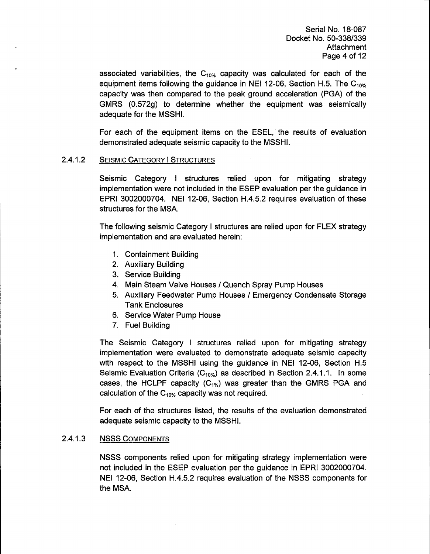associated variabilities, the  $C_{10\%}$  capacity was calculated for each of the equipment items following the guidance in NEI 12-06, Section H.5. The  $C_{10\%}$ capacity was then compared to the peak ground acceleration (PGA) of the GMRS (0.572g) to determine whether the equipment was seismically adequate for the MSSHI.

For each of the equipment items on the ESEL, the results of evaluation demonstrated adequate seismic capacity to the MSSHI.

#### 2.4.1.2 **SEISMIC CATEGORY I STRUCTURES**

Seismic Category I structures relied upon for mitigating strategy implementation were not included in the ESEP evaluation per the guidance in EPRI 3002000704. NEI 12-06, Section H.4.5.2 requires evaluation of these structures for the MSA.

The following seismic Category I structures are relied upon for FLEX strategy implementation and are evaluated herein:

- 1. Containment Building
- 2. Auxiliary Building
- 3. Service Building
- 4. Main Steam Valve Houses / Quench Spray Pump Houses
- 5. Auxiliary Feedwater Pump Houses / Emergency Condensate Storage Tank Enclosures
- 6. Service Water Pump House
- 7. Fuel Building

The Seismic Category I structures relied upon for mitigating strategy implementation were evaluated to demonstrate adequate seismic capacity with respect to the MSSHI using the guidance in NEI 12-06, Section H.5 Seismic Evaluation Criteria ( $C_{10\%}$ ) as described in Section 2.4.1.1. In some cases, the HCLPF capacity  $(C_{1%})$  was greater than the GMRS PGA and calculation of the  $C_{10\%}$  capacity was not required.

For each of the structures listed, the results of the evaluation demonstrated adequate seismic capacity to the MSSHI.

#### 2.4.1.3 **NSSS** COMPONENTS

NSSS components relied upon for mitigating strategy implementation were not included in the ESEP evaluation per the guidance in EPRI 3002000704. NEI 12-06, Section H.4.5.2 requires evaluation of the NSSS components for the MSA.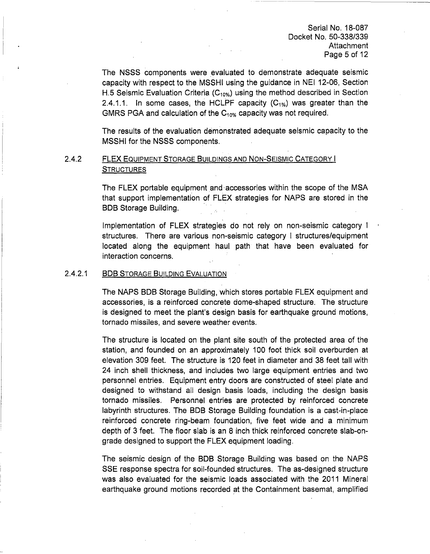Serial No. 18-087 Docket No. 50-338/339 Attachment Page 5 of 12

The NSSS components were evaluated to demonstrate adequate seismic capacity with respect to the MSSHI using the guidance in NEI 12-06, Section H.5 Seismic Evaluation Criteria ( $C_{10\%}$ ) using the method described in Section 2.4.1.1. In some cases, the HCLPF capacity  $(C_{1\%})$  was greater than the GMRS PGA and calculation of the C10% capacity was not required.

The results of the evaluation demonstrated adequate seismic capacity to the MSSHI for the NSSS components.

### 2.4.2 FLEX EQUIPMENT STORAGE BUILDINGS AND NON-SEISMIC CATEGORY I **STRUCTURES**

The FLEX portable equipment and·accessories within the scope of the MSA that support implementation of FLEX strategies for NAPS are stored in the BOB Storage Building.

Implementation of FLEX strategies do not rely on non-seismic category I structures. There are various non-seismic category I structures/equipment located along the equipment haul path that have been evaluated for interaction concerns.

#### 2.4.2.1 **BOB** STORAGE BUILDING EVALUATION

The NAPS BOB Storage Building, which stores portable FLEX equipment and accessories, is a reinforced concrete dome-shaped structure. The structure is designed to meet the plant's design basis for earthquake ground motions, tornado missiles, and severe weather events.

The structure is located on the plant site south of the protected area of the station, and founded on an approximately 100 foot thick soil overburden at elevation 309 feet. The structure is 120 feet in diameter and 38 feet tall with 24 inch shell thickness, and includes two large equipment entries and two personnel entries. Equipment entry doors are constructed of steel plate and designed to withstand all design basis loads, including the design basis tornado missiles. Personnel entries are protected by reinforced concrete labyrinth structures. The BDB Storage Building foundation is a cast-in-place reinforced concrete ring-beam foundation, five feet wide and a minimum depth of 3 feet. The floor slab is an 8 inch thick reinforced concrete slab-ongrade designed to support the FLEX equipment loading.

The seismic design of the BOB Storage Building was based on the NAPS SSE response spectra for soil-founded structures. The as-designed structure was also evaluated for the seismic loads associated with the 2011 Mineral earthquake ground motions recorded at the Containment basemat, amplified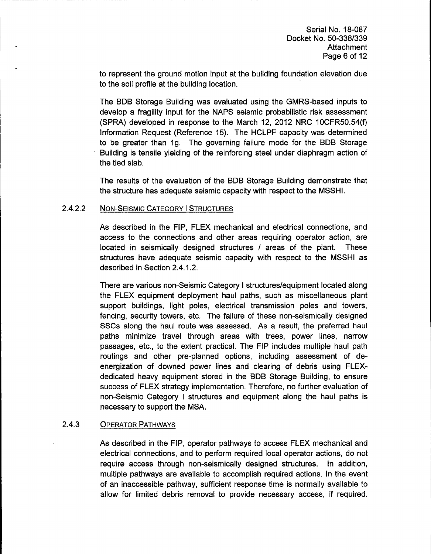to represent the ground motion input at the building foundation elevation due to the soil profile at the building location.

The BDB Storage Building was evaluated using the GMRS-based inputs to develop a fragility input for the NAPS seismic probabilistic risk assessment (SPRA) developed in response to the March 12, 2012 NRC 10CFR50.54(f) Information Request (Reference 15). The HCLPF capacity was determined to be greater than 1g. The governing failure mode for the BDB Storage Building is tensile yielding of the reinforcing steel under diaphragm action of the tied slab.

The results of the evaluation of the BDB Storage Building demonstrate that the structure has adequate seismic capacity with respect to the MSSHI.

#### 2.4.2.2 NON-SEISMIC CATEGORY I STRUCTURES

As described in the FIP, FLEX mechanical and electrical connections, and access to the connections and other areas requiring operator action, are located in seismically designed structures / areas of the plant. These structures have adequate seismic capacity with respect to the MSSHI as described in Section 2.4.1.2.

There are various non-Seismic Category I structures/equipment located along the FLEX equipment deployment haul paths, such as miscellaneous plant support buildings, light poles, electrical transmission poles and towers, fencing, security towers, etc. The failure of these non-seismically designed SSCs along the haul route was assessed. As a result, the preferred haul paths minimize travel through areas with trees, power lines, narrow passages, etc., to the extent practical. The FIP includes multiple haul path routings and other pre-planned options, including assessment of deenergization of downed power lines and clearing of debris using FLEXdedicated heavy equipment stored in the BDB Storage Building, to ensure success of FLEX strategy implementation. Therefore, no further evaluation of non-Seismic Category I structures and equipment along the haul paths is necessary to support the MSA.

### **2.4.3** OPERATOR PATHWAYS

As described in the FIP, operator pathways to access FLEX mechanical and electrical connections, and to perform required local operator actions, do not require access through non-seismically designed structures. In addition, multiple pathways are available to accomplish required actions. In the event of an inaccessible pathway, sufficient response time is normally available to allow for limited debris removal to provide necessary access, if required.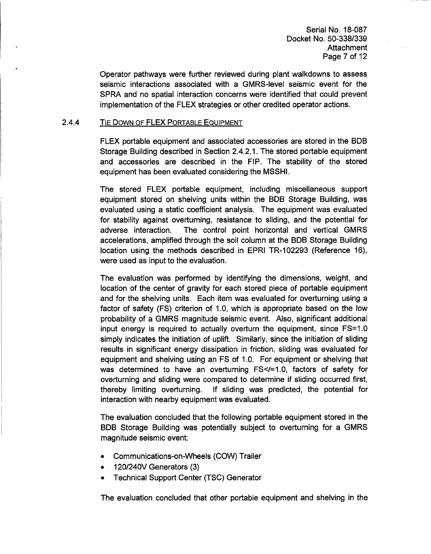Operator pathways were further reviewed during plant walkdowns to assess seismic interactions associated with a GMRS-level seismic event for the SPRA and no spatial interaction concerns were identified that could prevent implementation of the FLEX strategies or other credited operator actions.

#### 2.4.4 TIE DOWN OF **FLEX** PORTABLE EQUIPMENT

FLEX portable equipment and associated accessories are stored in the BOB Storage Building described in Section 2.4.2.1. The stored portable equipment and accessories are described in the FIP. The stability of the stored equipment has been evaluated considering the MSSHI.

The stored FLEX portable equipment, including miscellaneous support equipment stored on shelving units within the BOB Storage Building, was evaluated using a static coefficient analysis. The equipment was evaluated for stability against overturning, resistance to sliding, and the potential for adverse interaction. The control point horizontal and vertical GMRS accelerations, amplified through the soil column at the BOB Storage Building location using the methods described in EPRI TR-102293 (Reference 16), were used as input to the evaluation.

The evaluation was performed by identifying the dimensions, weight, and location of the center of gravity for each stored piece of portable equipment and for the shelving units. Each item was evaluated for overturning using a factor of safety (FS) criterion of 1.0, which is appropriate based on the low probability of a GMRS magnitude seismic event. Also, significant additional input energy is required to actually overturn the equipment, since FS=1.0 simply indicates the initiation of uplift. Similarly, since the initiation of sliding results in significant energy dissipation in friction, sliding was evaluated for equipment and shelving using an FS of 1.0. For equipment or shelving that was determined to have an overturning FS</=1.0, factors of safety for overturning and sliding were compared to determine if sliding occurred first, thereby limiting overturning. If sliding was predicted, the potential for interaction with nearby equipment was evaluated.

The evaluation concluded that the following portable equipment stored in the BOB Storage Building was potentially subject to overturning for a GMRS magnitude seismic event:

- Communications-on-Wheels (COW) Trailer
- 120/240V Generators (3)
- Technical Support Center (TSC) Generator

The evaluation concluded that other portable equipment and shelving in the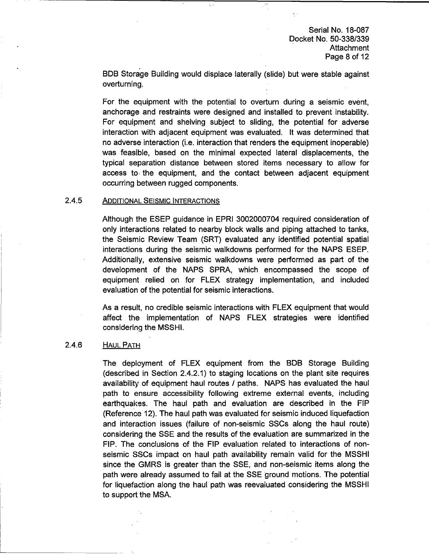$\frac{N}{\lambda}$  .

BOB Storage Building would displace laterally (slide) but were stable against overturning.

For the equipment with the potential to overturn during a seismic event, anchorage and restraints were designed and installed to prevent' instability. For equipment and shelving subject to sliding, the potential for adverse interaction with adjacent equipment was evaluated. It was determined that no adverse interaction (i.e. interaction that renders the equipment inoperable) was feasible, based on the minimal expected lateral displacements, the typical separation distance between stored items necessary to allow for access to, the equipment, and the contact between adjacent equipment occurring between rugged components.

### **2.4.5** ADDITIONAL SEISMIC INTERACTIONS

Although the ESEP guidance in EPRI 3002000704 required consideration of only interactions related to nearby block walls and piping attached to tanks, the Seismic Review Team (SRT) evaluated any identified potential spatial interactions during the seismic walkdowns performed for the NAPS ESEP. Additionally, extensive seismic walkdowns were performed as part of the development of the NAPS SPRA, which encompassed the scope of equipment relied on for FLEX strategy implementation, and included evaluation of the potential for seismic interactions.

As a result, no credible seismic interactions with FLEX equipment that would affect the implementation of NAPS FLEX strategies were identified considering the MSSHI.

#### 2.4.6 **HAUL PATH**

I.

The deployment of FLEX equipment from the BOB Storage Building (described in Section 2.4.2.1) to staging locations on the plant site requires availability of equipment haul routes / paths. NAPS has evaluated the haul path to ensure accessibility following extreme external events, including earthquakes. The haul path and evaluation are described in the FIP (Reference 12). The haul path was evaluated for seismic induced liquefaction and interaction issues (failure of non-seismic SSCs along the haul route) considering the SSE and the results of the evaluation are summarized in the FIP. The conclusions of the FIP evaluation related to interactions of nonseismic SSCs impact on haul path availability remain valid for the MSSHI since the GMRS is greater than the SSE, and non-seismic items along the path were already assumed to fail at the SSE ground motions. The potential for liquefaction along the haul path was reevaiuated considering the MSSHI to support the MSA.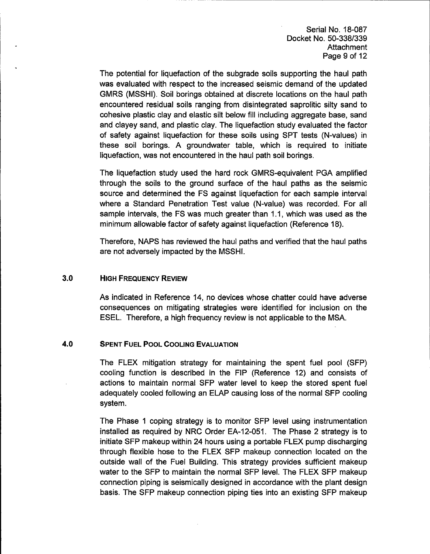Serial No. 18-087 Docket No. 50-338/339 **Attachment** Page 9 of 12

The potential for liquefaction of the subgrade soils supporting the haul path was evaluated with respect to the increased seismic demand of the updated GMRS (MSSHI). Soil borings obtained at discrete locations on the haul path encountered residual soils ranging from disintegrated saprolitic silty sand to cohesive plastic clay and elastic silt below fill including aggregate base, sand and clayey sand, and plastic clay. The liquefaction study evaluated the factor of safety against liquefaction for these soils using SPT tests (N-values) in these soil borings. A groundwater table, which is required to initiate liquefaction, was not encountered in the haul path soil borings.

The liquefaction study used the hard rock GMRS-equivalent PGA amplified through the soils to the ground surface of the haul paths as the seismic source and determined the FS against liquefaction for each sample interval where a Standard Penetration Test value (N-value) was recorded. For all sample intervals, the FS was much greater than 1.1, which was used as the minimum allowable factor of safety against liquefaction (Reference 18).

Therefore, NAPS has reviewed the haul paths and verified that the haul paths are not adversely impacted by the MSSHI.

### **3.0 HIGH FREQUENCY REVIEW**

As indicated in Reference 14, no devices whose chatter could have adverse consequences on mitigating strategies were identified for inclusion on the ESEL. Therefore, a high frequency review is not applicable to the MSA.

### **4.0 SPENT FUEL POOL COOLING EVALUATION**

The FLEX mitigation strategy for maintaining the spent fuel pool (SFP) cooling function is described in the FIP (Reference 12) and consists of actions to maintain normal SFP water level to keep the stored spent fuel adequately cooled following an ELAP causing loss of the normal SFP cooling system.

The Phase 1 coping strategy is to monitor SFP level using instrumentation installed as required by NRC Order EA-12-051. The Phase 2 strategy is to initiate SFP makeup within 24 hours using a portable FLEX pump discharging through flexible hose to the FLEX SFP makeup connection located on the outside wall of the Fuel Building. This strategy provides sufficient makeup water to the SFP to maintain the normal SFP level. The FLEX SFP makeup connection piping is seismically designed in accordance with the plant design basis. The SFP makeup connection piping ties into an existing SFP makeup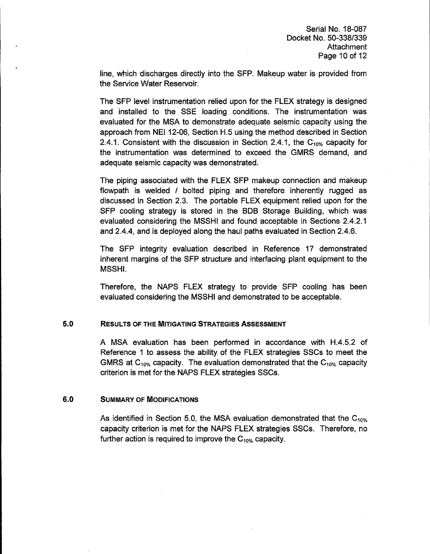line, which discharges directly into the SFP. Makeup water is provided from the Service Water Reservoir.

The SFP level instrumentation relied upon for the FLEX strategy is designed and installed to the SSE loading conditions. The instrumentation was evaluated for the MSA to demonstrate adequate seismic capacity using the approach from NEI 12-06, Section H.5 using the method described in Section 2.4.1. Consistent with the discussion in Section 2.4.1, the  $C<sub>10%</sub>$  capacity for the instrumentation was determined to exceed the GMRS demand, and adequate seismic capacity was demonstrated.

The piping associated with the FLEX SFP makeup connection and makeup flowpath is welded / bolted piping and therefore inherently rugged as discussed in Section 2.3. The portable FLEX equipment relied upon for the SFP cooling strategy is stored in the BOB Storage Building, which was evaluated considering the MSSHI and found acceptable in Sections 2.4.2.1 and 2.4.4, and is deployed along the haul paths evaluated in Section 2.4.6.

The SFP integrity evaluation described in Reference 17 demonstrated inherent margins of the SFP structure and interfacing plant equipment to the MSSHI.

Therefore, the NAPS FLEX strategy to provide SFP cooling has been evaluated considering the MSSHI and demonstrated to be acceptable.

### 5.0 RESULTS OF THE MITIGATING STRATEGIES ASSESSMENT

A MSA evaluation has been performed in accordance with H.4.5.2 of Reference 1 to assess the ability of the FLEX strategies SSCs to meet the GMRS at  $C_{10\%}$  capacity. The evaluation demonstrated that the  $C_{10\%}$  capacity criterion is met for the NAPS FLEX strategies SSCs.

### **6.0 SUMMARY OF MODIFICATIONS**

As identified in Section 5.0, the MSA evaluation demonstrated that the  $C<sub>10%</sub>$ capacity criterion is met for the NAPS FLEX strategies SSCs. Therefore, no further action is required to improve the  $C_{10\%}$  capacity.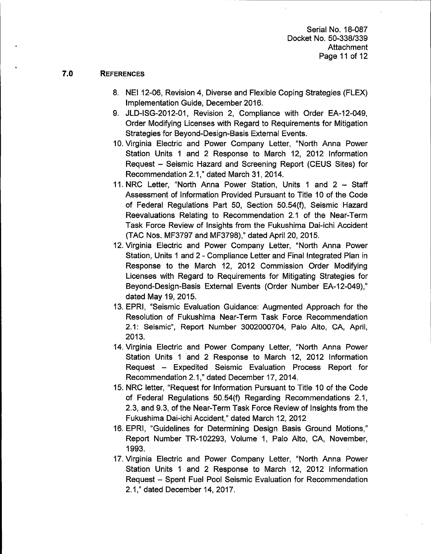### **7.0 REFERENCES**

- 8. NEI 12-06, Revision 4, Diverse and Flexible Coping Strategies (FLEX) Implementation Guide, December 2016.
- 9. JLD-ISG-2012-01, Revision 2, Compliance with Order EA-12-049, Order Modifying Licenses with Regard to Requirements for Mitigation Strategies for Beyond-Design-Basis External Events.
- 10. Virginia Electric and Power Company Letter, "North Anna Power Station Units 1 and 2 Response to March 12, 2012 Information Request - Seismic Hazard and Screening Report (CEUS Sites) for Recommendation 2.1," dated March 31, 2014.
- 11. NRC Letter, "North Anna Power Station, Units 1 and 2 Staff Assessment of Information Provided Pursuant to Title 10 of the Code of Federal Regulations Part 50, Section 50.54(f), Seismic Hazard Reevaluations Relating to Recommendation 2.1 of the Near-Term Task Force Review of Insights from the Fukushima Dai-ichi Accident (TAC Nos. MF3797 and MF3798)," dated April 20, 2015.
- 12. Virginia Electric and Power Company Letter, "North Anna Power Station, Units 1 and 2 - Compliance Letter and Final Integrated Plan in Response to the March 12, 2012 Commission Order Modifying Licenses with Regard to Requirements for Mitigating Strategies for Beyond-Design-Basis External Events (Order Number EA-12-049)," dated May 19, 2015.
- 13. EPRI, "Seismic Evaluation Guidance: Augmented Approach for the Resolution of Fukushima Near-Term Task Force Recommendation 2.1: Seismic", Report Number 3002000704, Palo Alto, CA, April, 2013.
- 14. Virginia Electric and Power Company Letter, "North Anna Power Station Units 1 and 2 Response to March 12, 2012 Information Request - Expedited Seismic Evaluation Process Report for Recommendation 2.1," dated December 17, 2014.
- 15. NRC letter, "Request for Information Pursuant to Title 10 of the Code of Federal Regulations 50.54(f) Regarding Recommendations 2.1, 2.3, and 9.3, of the Near-Term Task Force Review of Insights from the Fukushima Dai-ichi Accident," dated March 12, 2012
- 16. EPRI, "Guidelines for Determining Design Basis Ground Motions," Report Number TR-102293, Volume 1, Palo Alto, CA, November, 1993.
- 17. Virginia Electric and Power Company Letter, "North Anna Power Station Units 1 and 2 Response to March 12, 2012 Information Request - Spent Fuel Pool Seismic Evaluation for Recommendation 2.1," dated December 14, 2017.